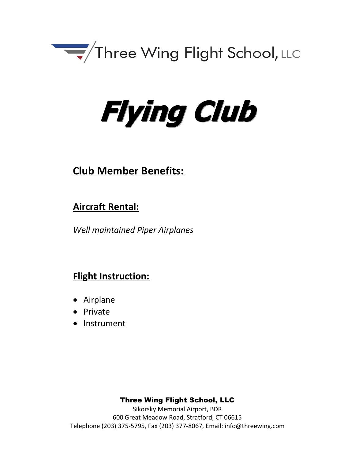

# **Flying Club**

# **Club Member Benefits:**

# **Aircraft Rental:**

*Well maintained Piper Airplanes*

# **Flight Instruction:**

- Airplane
- Private
- Instrument

# Three Wing Flight School, LLC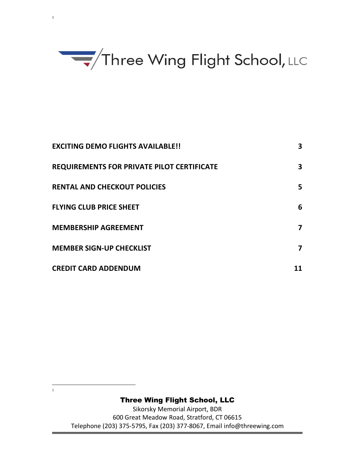

1

 $\frac{1}{1}$ 

 $1 \qquad \qquad$ 

| <b>EXCITING DEMO FLIGHTS AVAILABLE!!</b>          | 3  |
|---------------------------------------------------|----|
| <b>REQUIREMENTS FOR PRIVATE PILOT CERTIFICATE</b> | 3  |
| <b>RENTAL AND CHECKOUT POLICIES</b>               | 5  |
| <b>FLYING CLUB PRICE SHEET</b>                    | 6  |
| <b>MEMBERSHIP AGREEMENT</b>                       | 7  |
| <b>MEMBER SIGN-UP CHECKLIST</b>                   | 7  |
| <b>CREDIT CARD ADDENDUM</b>                       | 11 |

#### Three Wing Flight School, LLC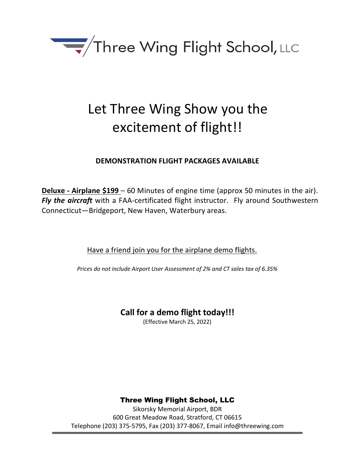

# Let Three Wing Show you the excitement of flight!!

### **DEMONSTRATION FLIGHT PACKAGES AVAILABLE**

**Deluxe - Airplane \$199** – 60 Minutes of engine time (approx 50 minutes in the air). *Fly the aircraft* with a FAA-certificated flight instructor. Fly around Southwestern Connecticut—Bridgeport, New Haven, Waterbury areas.

Have a friend join you for the airplane demo flights.

*Prices do not include Airport User Assessment of 2% and CT sales tax of 6.35%*

# **Call for a demo flight today!!!**

(Effective March 25, 2022)

# Three Wing Flight School, LLC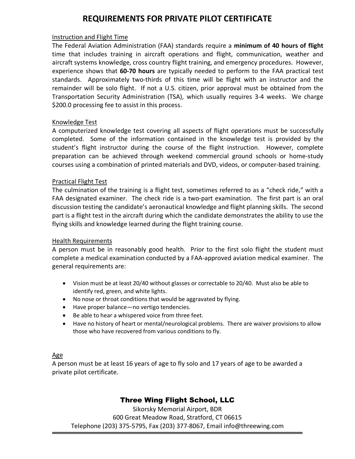## **REQUIREMENTS FOR PRIVATE PILOT CERTIFICATE**

#### Instruction and Flight Time

The Federal Aviation Administration (FAA) standards require a **minimum of 40 hours of flight** time that includes training in aircraft operations and flight, communication, weather and aircraft systems knowledge, cross country flight training, and emergency procedures. However, experience shows that **60-70 hours** are typically needed to perform to the FAA practical test standards. Approximately two-thirds of this time will be flight with an instructor and the remainder will be solo flight. If not a U.S. citizen, prior approval must be obtained from the Transportation Security Administration (TSA), which usually requires 3-4 weeks. We charge \$200.0 processing fee to assist in this process.

#### Knowledge Test

A computerized knowledge test covering all aspects of flight operations must be successfully completed. Some of the information contained in the knowledge test is provided by the student's flight instructor during the course of the flight instruction. However, complete preparation can be achieved through weekend commercial ground schools or home-study courses using a combination of printed materials and DVD, videos, or computer-based training.

#### Practical Flight Test

The culmination of the training is a flight test, sometimes referred to as a "check ride," with a FAA designated examiner. The check ride is a two-part examination. The first part is an oral discussion testing the candidate's aeronautical knowledge and flight planning skills. The second part is a flight test in the aircraft during which the candidate demonstrates the ability to use the flying skills and knowledge learned during the flight training course.

#### Health Requirements

A person must be in reasonably good health. Prior to the first solo flight the student must complete a medical examination conducted by a FAA-approved aviation medical examiner. The general requirements are:

- Vision must be at least 20/40 without glasses or correctable to 20/40. Must also be able to identify red, green, and white lights.
- No nose or throat conditions that would be aggravated by flying.
- Have proper balance—no vertigo tendencies.
- Be able to hear a whispered voice from three feet.
- Have no history of heart or mental/neurological problems. There are waiver provisions to allow those who have recovered from various conditions to fly.

#### Age

A person must be at least 16 years of age to fly solo and 17 years of age to be awarded a private pilot certificate.

#### Three Wing Flight School, LLC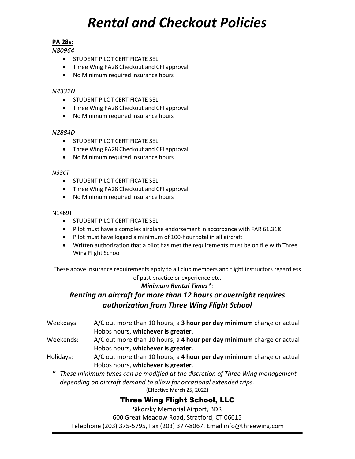# *Rental and Checkout Policies*

#### **PA 28s:**

*N80964*

- STUDENT PILOT CERTIFICATE SEL
- Three Wing PA28 Checkout and CFI approval
- No Minimum required insurance hours

#### *N4332N*

- STUDENT PILOT CERTIFICATE SEL
- Three Wing PA28 Checkout and CFI approval
- No Minimum required insurance hours

#### *N2884D*

- STUDENT PILOT CERTIFICATE SEL
- Three Wing PA28 Checkout and CFI approval
- No Minimum required insurance hours

#### *N33CT*

- STUDENT PILOT CERTIFICATE SEL
- Three Wing PA28 Checkout and CFI approval
- No Minimum required insurance hours

#### N1469T

- STUDENT PILOT CERTIFICATE SEL
- Pilot must have a complex airplane endorsement in accordance with FAR 61.31€
- Pilot must have logged a minimum of 100-hour total in all aircraft
- Written authorization that a pilot has met the requirements must be on file with Three Wing Flight School

These above insurance requirements apply to all club members and flight instructors regardless of past practice or experience etc.

#### *Minimum Rental Times\*:*

## *Renting an aircraft for more than 12 hours or overnight requires authorization from Three Wing Flight School*

Weekdays: A/C out more than 10 hours, a **3 hour per day minimum** charge or actual Hobbs hours, **whichever is greater**.

- Weekends: A/C out more than 10 hours, a **4 hour per day minimum** charge or actual Hobbs hours, **whichever is greater**.
- Holidays: A/C out more than 10 hours, a **4 hour per day minimum** charge or actual Hobbs hours, **whichever is greater**.
	- *\* These minimum times can be modified at the discretion of Three Wing management depending on aircraft demand to allow for occasional extended trips.* (Effective March 25, 2022)

#### Three Wing Flight School, LLC

Sikorsky Memorial Airport, BDR

600 Great Meadow Road, Stratford, CT 06615

Telephone (203) 375-5795, Fax (203) 377-8067, Email info@threewing.com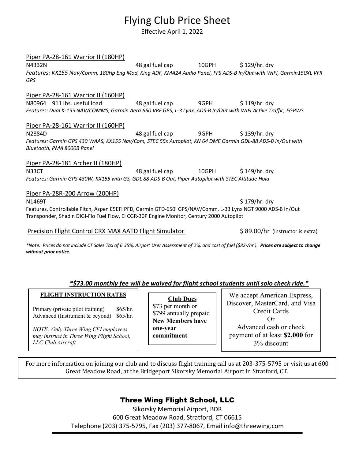# Flying Club Price Sheet

Effective April 1, 2022

#### Piper PA-28-161 Warrior II (180HP)

N4332N 10GPH \$ 129/hr. dry *Features: KX155 Nav/Comm, 180Hp Eng Mod, King ADF, KMA24 Audio Panel, FFS ADS-B In/Out with WIFI, Garmin150XL VFR GPS*

#### Piper PA-28-161 Warrior II (160HP)

N80964 911 lbs. useful load 48 gal fuel cap 9GPH \$ 119/hr. dry *Features: Dual K-155 NAV/COMMS, Garmin Aera 660 VRF GPS, L-3 Lynx, ADS-B In/Out with WIFI Active Traffic, EGPWS*

#### Piper PA-28-161 Warrior II (160HP)

N2884D 48 gal fuel cap 9GPH \$ 139/hr. dry *Features: Garmin GPS 430 WAAS, KX155 Nav/Com, STEC 55x Autopilot, KN 64 DME Garmin GDL-88 ADS-B In/Out with Bluetooth, PMA 8000B Panel*

#### Piper PA-28-181 Archer II (180HP)

N33CT 48 gal fuel cap 10GPH \$ 149/hr. dry *Features: Garmin GPS 430W, KX155 with GS, GDL 88 ADS-B Out, Piper Autopilot with STEC Altitude Hold*

#### Piper PA-28R-200 Arrow (200HP)

 $N1469$ T  $N1469$ T  $N1469$ T  $N1469$ T  $N1469$ T  $N1469$ T  $N1469$ T  $N1469$ T  $N1469$ T  $N1469$ T  $N1469$ T  $N1469$ T  $N1469$ T  $N1469$ T  $N1469$ T  $N1469$ T  $N1469$ T  $N1469$ T  $N1469$ T  $N1469$ T  $N1469$ T  $N1469$ T  $N1469$ T  $N1469$ T  $N146$ Features, Controllable Pitch, Aspen E5EFI PFD, Garmin GTD-650i GPS/NAV/Comm, L-33 Lynx NGT 9000 ADS-B In/Out Transponder, Shadin DIGI-Flo Fuel Flow, El CGR-30P Engine Monitor, Century 2000 Autopilot

#### Precision Flight Control CRX MAX AATD Flight Simulator \$89.00/hr (Instructor is extra)

*\*Note: Prices do not include CT Sales Tax of 6.35%, Airport User Assessment of 2%, and cost of fuel (\$82-/hr.). Prices are subject to change without prior notice.* 

#### *\*\$73.00 monthly fee will be waived for flight school students until solo check ride.\**

#### **FLIGHT INSTRUCTION RATES**

Primary (private pilot training) \$65/hr. Advanced (Instrument & beyond) \$65/hr.

*NOTE: Only Three Wing CFI employees may instruct in Three Wing Flight School, LLC Club Aircraft*

**Club Dues** \$73 per month or \$799 annually prepaid **New Members have one-year commitment**

We accept American Express, Discover, MasterCard, and Visa Credit Cards Or Advanced cash or check payment of at least **\$2,000** for 3% discount

For more information on joining our club and to discuss flight training call us at 203-375-5795 or visit us at 600 Great Meadow Road, at the Bridgeport Sikorsky Memorial Airport in Stratford, CT.

#### Three Wing Flight School, LLC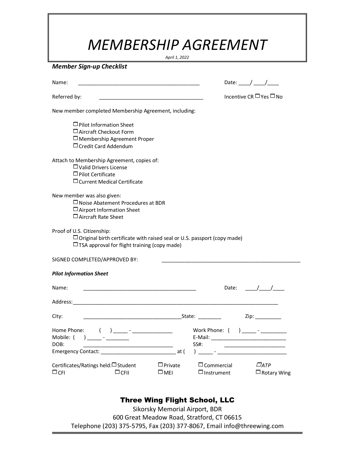# *MEMBERSHIP AGREEMENT*

*April 1, 2022*

*Member Sign-up Checklist*

| Name:<br><u> 1989 - Johann John Stone, mars eta biztanleria (h. 1989).</u>                                                                                 | Date: $\frac{1}{\sqrt{2}}$                                                 |
|------------------------------------------------------------------------------------------------------------------------------------------------------------|----------------------------------------------------------------------------|
| Referred by:<br><u> 1989 - Johann Barbara, martxa alemaniar a</u>                                                                                          | Incentive CR $\Box$ Yes $\Box$ No                                          |
| New member completed Membership Agreement, including:                                                                                                      |                                                                            |
| $\Box$ Pilot Information Sheet<br>$\Box$ Aircraft Checkout Form<br>$\Box$ Membership Agreement Proper<br>□ Credit Card Addendum                            |                                                                            |
| Attach to Membership Agreement, copies of:<br>$\Box$ Valid Drivers License<br>$\Box$ Pilot Certificate<br>$\Box$ Current Medical Certificate               |                                                                            |
| New member was also given:<br>$\square$ Noise Abatement Procedures at BDR<br>$\Box$ Airport Information Sheet<br>$\Box$ Aircraft Rate Sheet                |                                                                            |
| Proof of U.S. Citizenship:<br>□ Original birth certificate with raised seal or U.S. passport (copy made)<br>□ TSA approval for flight training (copy made) |                                                                            |
| SIGNED COMPLETED/APPROVED BY:                                                                                                                              |                                                                            |
| <b>Pilot Information Sheet</b>                                                                                                                             |                                                                            |
| Name:                                                                                                                                                      | $\frac{1}{2}$<br>Date:                                                     |
|                                                                                                                                                            |                                                                            |
| City:<br><u> 1989 - Jan James James James James James James James James James James James James James James James James J</u>                              | State: 1988                                                                |
| Home Phone:<br>) _____ - ____________<br>DOB:                                                                                                              | Work Phone: (<br>) _____ - ________<br>SS#:                                |
| Certificates/Ratings held:□ Student<br>$\Box$ Private<br>$\Box$ CFI<br>$\Box$ CFII<br>$\square$ MEI                                                        | $\Box$ ATP<br>$\Box$ Commercial<br>$\Box$ Instrument<br>$\Box$ Rotary Wing |

## Three Wing Flight School, LLC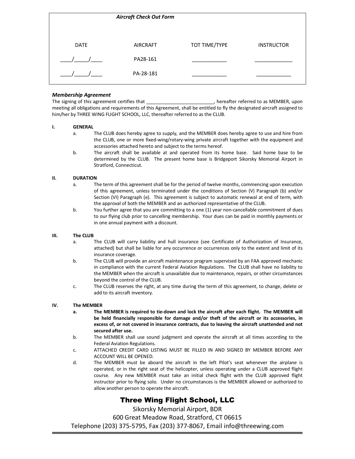|             | <b>Aircraft Check Out Form</b> |               |                   |
|-------------|--------------------------------|---------------|-------------------|
|             |                                |               |                   |
| <b>DATE</b> | <b>AIRCRAFT</b>                | TOT TIME/TYPE | <b>INSTRUCTOR</b> |
|             | PA28-161                       |               |                   |
|             | PA-28-181                      |               |                   |

#### *Membership Agreement*

The signing of this agreement certifies that \_\_\_\_\_\_\_\_\_\_\_\_\_\_\_\_\_\_\_\_\_\_\_\_, hereafter referred to as MEMBER, upon meeting all obligations and requirements of this Agreement, shall be entitled to fly the designated aircraft assigned to him/her by THREE WING FLIGHT SCHOOL, LLC, thereafter referred to as the CLUB.

#### **I. GENERAL**

- a. The CLUB does hereby agree to supply, and the MEMBER does hereby agree to use and hire from the CLUB, one or more fixed-wing/rotary-wing private aircraft together with the equipment and accessories attached hereto and subject to the terms hereof.
- b. The aircraft shall be available at and operated from its home base. Said home base to be determined by the CLUB. The present home base is Bridgeport Sikorsky Memorial Airport in Stratford, Connecticut.

#### **II. DURATION**

- a. The term of this agreement shall be for the period of twelve months, commencing upon execution of this agreement, unless terminated under the conditions of Section (V) Paragraph (b) and/or Section (VI) Paragraph (e). This agreement is subject to automatic renewal at end of term, with the approval of both the MEMBER and an authorized representative of the CLUB.
- b. You further agree that you are committing to a one (1) year non-cancellable commitment of dues to our flying club prior to cancelling membership. Your dues can be paid in monthly payments or in one annual payment with a discount.

#### **III. The CLUB**

- a. The CLUB will carry liability and hull insurance (see Certificate of Authorization of Insurance, attached) but shall be liable for any occurrence or occurrences only to the extent and limit of its insurance coverage.
- b. The CLUB will provide an aircraft maintenance program supervised by an FAA approved mechanic in compliance with the current Federal Aviation Regulations. The CLUB shall have no liability to the MEMBER when the aircraft is unavailable due to maintenance, repairs, or other circumstances beyond the control of the CLUB.
- c. The CLUB reserves the right, at any time during the term of this agreement, to change, delete or add to its aircraft inventory.

#### **IV. The MEMBER**

- **a. The MEMBER is required to tie-down and lock the aircraft after each flight. The MEMBER will be held financially responsible for damage and/or theft of the aircraft or its accessories, in excess of, or not covered in insurance contracts, due to leaving the aircraft unattended and not secured after use.**
- b. The MEMBER shall use sound judgment and operate the aircraft at all times according to the Federal Aviation Regulations.
- c. ATTACHED CREDIT CARD LISTING MUST BE FILLED IN AND SIGNED BY MEMBER BEFORE ANY ACCOUNT WILL BE OPENED.
- d. The MEMBER must be aboard the aircraft in the left Pilot's seat whenever the airplane is operated, or in the right seat of the helicopter, unless operating under a CLUB approved flight course. Any new MEMBER must take an initial check flight with the CLUB approved flight instructor prior to flying solo. Under no circumstances is the MEMBER allowed or authorized to allow another person to operate the aircraft.

#### Three Wing Flight School, LLC

Sikorsky Memorial Airport, BDR

600 Great Meadow Road, Stratford, CT 06615

Telephone (203) 375-5795, Fax (203) 377-8067, Email info@threewing.com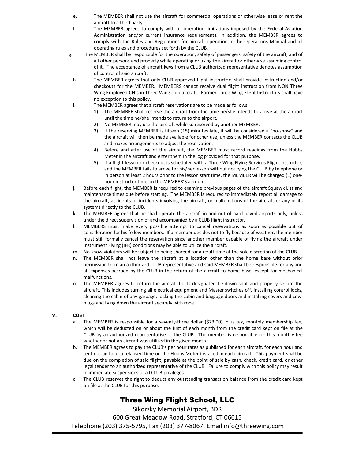- e. The MEMBER shall not use the aircraft for commercial operations or otherwise lease or rent the aircraft to a third party.
- f. The MEMBER agrees to comply with all operation limitations imposed by the Federal Aviation Administration and/or current insurance requirements. In addition, the MEMBER agrees to comply with the Rules and Regulations for aircraft operation in the Operations Manual and all operating rules and procedures set forth by the CLUB.
- g. The MEMBER shall be responsible for the operation, safety of passengers, safety of the aircraft, and of all other persons and property while operating or using the aircraft or otherwise assuming control of it. The acceptance of aircraft keys from a CLUB authorized representative denotes assumption of control of said aircraft.
- h. The MEMBER agrees that only CLUB approved flight instructors shall provide instruction and/or checkouts for the MEMBER. MEMBERS cannot receive dual flight instruction from NON Three Wing Employed CFI's in Three Wing club aircraft. Former Three Wing Flight Instructors shall have no exception to this policy.
- i. The MEMBER agrees that aircraft reservations are to be made as follows:
	- 1) The MEMBER shall reserve the aircraft from the time he/she intends to arrive at the airport until the time he/she intends to return to the airport.
	- 2) No MEMBER may use the aircraft while so reserved by another MEMBER.
	- 3) If the reserving MEMBER is fifteen (15) minutes late, it will be considered a "no-show" and the aircraft will then be made available for other use, unless the MEMBER contacts the CLUB and makes arrangements to adjust the reservation.
	- 4) Before and after use of the aircraft, the MEMBER must record readings from the Hobbs Meter in the aircraft and enter them in the log provided for that purpose.
	- 5) If a flight lesson or checkout is scheduled with a Three Wing Flying Services Flight Instructor, and the MEMBER fails to arrive for his/her lesson without notifying the CLUB by telephone or in person at least 2 hours prior to the lesson start time, the MEMBER will be charged (1) onehour instructor time on the MEMBER'S account.
- j. Before each flight, the MEMBER is required to examine previous pages of the aircraft Squawk List and maintenance times due before starting. The MEMBER is required to immediately report all damage to the aircraft, accidents or incidents involving the aircraft, or malfunctions of the aircraft or any of its systems directly to the CLUB.
- k. The MEMBER agrees that he shall operate the aircraft in and out of hard-paved airports only, unless under the direct supervision of and accompanied by a CLUB flight instructor.
- l. MEMBERS must make every possible attempt to cancel reservations as soon as possible out of consideration for his fellow members. If a member decides not to fly because of weather, the member must still formally cancel the reservation since another member capable of flying the aircraft under Instrument Flying (IFR) conditions may be able to utilize the aircraft.
- m. No-show violators will be subject to being charged for aircraft time at the sole discretion of the CLUB.
- n. The MEMBER shall not leave the aircraft at a location other than the home base without prior permission from an authorized CLUB representative and said MEMBER shall be responsible for any and all expenses accrued by the CLUB in the return of the aircraft to home base, except for mechanical malfunctions.
- o. The MEMBER agrees to return the aircraft to its designated tie-down spot and properly secure the aircraft. This includes turning all electrical equipment and Master switches off, installing control locks, cleaning the cabin of any garbage, locking the cabin and baggage doors and installing covers and cowl plugs and tying down the aircraft securely with rope.

#### **V. COST**

- a. The MEMBER is responsible for a seventy-three dollar (\$73.00), plus tax, monthly membership fee, which will be deducted on or about the first of each month from the credit card kept on file at the CLUB by an authorized representative of the CLUB. The member is responsible for this monthly fee whether or not an aircraft was utilized in the given month.
- b. The MEMBER agrees to pay the CLUB's per hour rates as published for each aircraft, for each hour and tenth of an hour of elapsed time on the Hobbs Meter installed in each aircraft. This payment shall be due on the completion of said flight, payable at the point of sale by cash, check, credit card, or other legal tender to an authorized representative of the CLUB. Failure to comply with this policy may result in immediate suspensions of all CLUB privileges.
- c. The CLUB reserves the right to deduct any outstanding transaction balance from the credit card kept on file at the CLUB for this purpose.

#### Three Wing Flight School, LLC

Sikorsky Memorial Airport, BDR

600 Great Meadow Road, Stratford, CT 06615

Telephone (203) 375-5795, Fax (203) 377-8067, Email info@threewing.com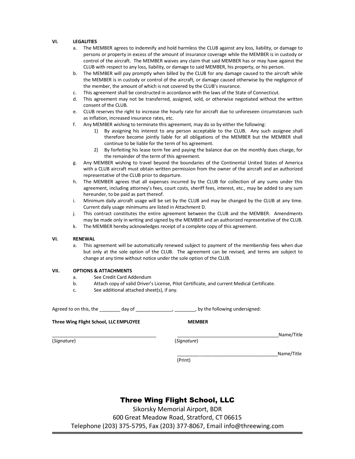#### **VI. LEGALITIES**

- a. The MEMBER agrees to indemnify and hold harmless the CLUB against any loss, liability, or damage to persons or property in excess of the amount of insurance coverage while the MEMBER is in custody or control of the aircraft. The MEMBER waives any claim that said MEMBER has or may have against the CLUB with respect to any loss, liability, or damage to said MEMBER, his property, or his person.
- b. The MEMBER will pay promptly when billed by the CLUB for any damage caused to the aircraft while the MEMBER is in custody or control of the aircraft, or damage caused otherwise by the negligence of the member, the amount of which is not covered by the CLUB's insurance.
- c. This agreement shall be constructed in accordance with the laws of the State of Connecticut.
- d. This agreement may not be transferred, assigned, sold, or otherwise negotiated without the written consent of the CLUB.
- e. CLUB reserves the right to increase the hourly rate for aircraft due to unforeseen circumstances such as inflation, increased insurance rates, etc.
- f. Any MEMBER wishing to terminate this agreement, may do so by either the following:
	- 1) By assigning his interest to any person acceptable to the CLUB. Any such assignee shall therefore become jointly liable for all obligations of the MEMBER but the MEMBER shall continue to be liable for the term of his agreement.
	- 2) By forfeiting his lease term fee and paying the balance due on the monthly dues charge, for the remainder of the term of this agreement.
- g. Any MEMBER wishing to travel beyond the boundaries of the Continental United States of America with a CLUB aircraft must obtain written permission from the owner of the aircraft and an authorized representative of the CLUB prior to departure.
- h. The MEMBER agrees that all expenses incurred by the CLUB for collection of any sums under this agreement, including attorney's fees, court costs, sheriff fees, interest, etc., may be added to any sum hereunder, to be paid as part thereof.
- i. Minimum daily aircraft usage will be set by the CLUB and may be changed by the CLUB at any time. Current daily usage minimums are listed in Attachment D.
- j. This contract constitutes the entire agreement between the CLUB and the MEMBER. Amendments may be made only in writing and signed by the MEMBER and an authorized representative of the CLUB.
- k. The MEMBER hereby acknowledges receipt of a complete copy of this agreement.

#### **VI. RENEWAL**

a. This agreement will be automatically renewed subject to payment of the membership fees when due but only at the sole option of the CLUB. The agreement can be revised, and terms are subject to change at any time without notice under the sole option of the CLUB.

#### **VII. OPTIONS & ATTACHMENTS**

- a. See Credit Card Addendum
- b. Attach copy of valid Driver's License, Pilot Certificate, and current Medical Certificate.
- c. See additional attached sheet(s), if any.

Agreed to on this, the \_\_\_\_\_\_\_\_ day of \_\_\_\_\_\_\_\_\_\_\_\_\_\_\_\_\_\_\_\_\_\_, by the following undersigned:

**Three Wing Flight School, LLC EMPLOYEE MEMBER**

(*Signature*)(*Signature*)

| l Sir<br>. . |  |
|--------------|--|

 $Name/Title$ 

(Print)

#### Three Wing Flight School, LLC